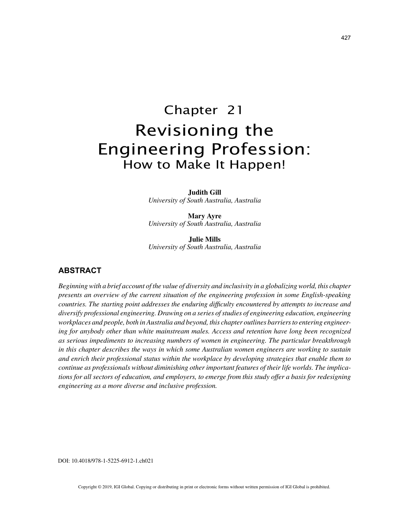# Chapter 21 Revisioning the Engineering Profession: How to Make It Happen!

**Judith Gill** *University of South Australia, Australia*

**Mary Ayre** *University of South Australia, Australia*

**Julie Mills** *University of South Australia, Australia*

## **ABSTRACT**

*Beginning with a brief account of the value of diversity and inclusivity in a globalizing world, this chapter presents an overview of the current situation of the engineering profession in some English-speaking countries. The starting point addresses the enduring difficulty encountered by attempts to increase and diversify professional engineering. Drawing on a series of studies of engineering education, engineering workplaces and people, both in Australia and beyond, this chapter outlines barriers to entering engineering for anybody other than white mainstream males. Access and retention have long been recognized as serious impediments to increasing numbers of women in engineering. The particular breakthrough in this chapter describes the ways in which some Australian women engineers are working to sustain and enrich their professional status within the workplace by developing strategies that enable them to continue as professionals without diminishing other important features of their life worlds. The implications for all sectors of education, and employers, to emerge from this study offer a basis for redesigning engineering as a more diverse and inclusive profession.*

DOI: 10.4018/978-1-5225-6912-1.ch021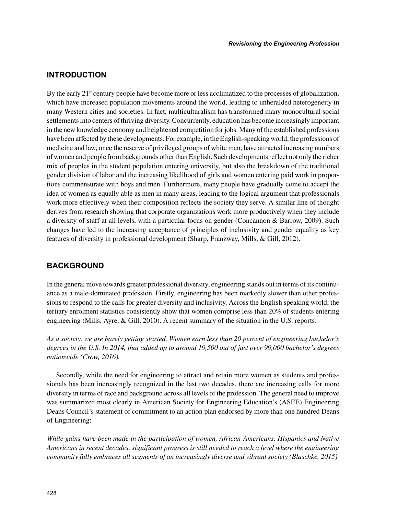## **INTRODUCTION**

By the early 21<sup>st</sup> century people have become more or less acclimatized to the processes of globalization, which have increased population movements around the world, leading to unheralded heterogeneity in many Western cities and societies. In fact, multiculturalism has transformed many monocultural social settlements into centers of thriving diversity. Concurrently, education has become increasingly important in the new knowledge economy and heightened competition for jobs. Many of the established professions have been affected by these developments. For example, in the English-speaking world, the professions of medicine and law, once the reserve of privileged groups of white men, have attracted increasing numbers of women and people from backgrounds other than English. Such developments reflect not only the richer mix of peoples in the student population entering university, but also the breakdown of the traditional gender division of labor and the increasing likelihood of girls and women entering paid work in proportions commensurate with boys and men. Furthermore, many people have gradually come to accept the idea of women as equally able as men in many areas, leading to the logical argument that professionals work more effectively when their composition reflects the society they serve. A similar line of thought derives from research showing that corporate organizations work more productively when they include a diversity of staff at all levels, with a particular focus on gender (Concannon & Barrow, 2009). Such changes have led to the increasing acceptance of principles of inclusivity and gender equality as key features of diversity in professional development (Sharp, Franzway, Mills, & Gill, 2012).

## **BACKGROUND**

In the general move towards greater professional diversity, engineering stands out in terms of its continuance as a male-dominated profession. Firstly, engineering has been markedly slower than other professions to respond to the calls for greater diversity and inclusivity. Across the English speaking world, the tertiary enrolment statistics consistently show that women comprise less than 20% of students entering engineering (Mills, Ayre, & Gill, 2010). A recent summary of the situation in the U.S. reports:

*As a society, we are barely getting started. Women earn less than 20 percent of engineering bachelor's degrees in the U.S. In 2014, that added up to around 19,500 out of just over 99,000 bachelor's degrees nationwide (Crow, 2016).*

Secondly, while the need for engineering to attract and retain more women as students and professionals has been increasingly recognized in the last two decades, there are increasing calls for more diversity in terms of race and background across all levels of the profession. The general need to improve was summarized most clearly in American Society for Engineering Education's (ASEE) Engineering Deans Council's statement of commitment to an action plan endorsed by more than one hundred Deans of Engineering:

*While gains have been made in the participation of women, African-Americans, Hispanics and Native Americans in recent decades, significant progress is still needed to reach a level where the engineering community fully embraces all segments of an increasingly diverse and vibrant society (Blaschke, 2015).*